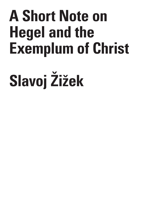## **A Short Note on Hegel and the Exemplum of Christ**

## **Slavoj Žižek**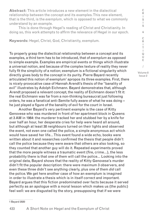**Abstract:** This article introduces a new element in the dialectical relationship between the concept and its examples. This new element, that is the third, is the *exemplum*, which is opposed to what we commonly understand by an example.

This is done through Hegel's reading of Christ and Christianity. In doing so, this work attempts to affirm the relevance of Hegel in our epoch.

**Keywords:** Hegel, Christ, God, Christianity, exemplum.

To properly grasp the dialectical relationship between a concept and its examples, a third term has to be introduced, that of *exemplum* as opposed to simple example. Examples are empirical events or things which illustrate a universal notion, and because of the complex texture of reality they never fully fit the simplicity of a notion; exemplum is a fictional singularity which directly gives body to the concept in its purity. Pierre Bayard recently articulated this notion of exemplum<sup>1</sup> apropos its three examples. First, there is nicely-provocative case of Hannah Arendt's thesis of the "banality of evil" illustrates by Adolph Eichmann. Bayard demonstrates that, although Arendt proposed a relevant concept, the reality of Eichmann doesn't fit it: the real Eichmann was far from a non-thinking bureaucrat just following orders, he was a fanatical anti-Semite fully aware of what he was doing – he just played a figure of the banality of evil for the court in Israel.

Another Bayard's very pertinent example is the case of Kitty Genovese who was murdered in front of her apartment block in Queens at 3 AM in 1964: the murderer tracked her and stubbed her by a knife for over half an hour, her desperate cries for help were heard all around, but although at least 38 neighbours turned on their lights and observed the event, not even one called the police, a simple anonymous act which would have saved her life… This event found a wide echo, books were written about it and researches confirmed the thesis that people didn't call the police because they were aware that others are also looking, so they counted that another guy will do it. Repeated experiments proved that the more people witness a traumatic event (fire, crime…), the less probability there is that one of them will call the police… Looking into the original data, Bayard shows that the reality of Kitty Genovese's murder didn't fit the popular description: there were maximum 3 observers, and even these three didn't see anything clearly, plus one of them *did* call the police. We get here another case of how an exemplum is imagined in order to illustrate a thesis which is in itself correct and important. Bayard argues that this fiction predominated over facts because it served perfectly as an apologue with a moral lesson which makes us (the public) feel well: we are disgusted by the story, presupposing that if we were

U E / Volume 8

Issue 2

C R  $\mathbf{I}$ S I S & C R I T  $\mathbf{I}$ Q

433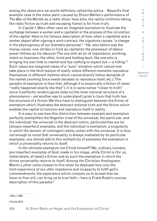among the observers we would definitely called the police. - Bayard's final example case is the mass panic caused by Orson Welles's performance of *The War of the Worlds* as a radio show: here also, the reality (millions taking the radio fiction as truth and escaping home) is far from truth.

In *Capital I*, Marx often uses an imagined exemplum to illustrate the exchange between a worker and a capitalist or the process of the circulation of the capital. Here is his famous description of how, when a capitalist and a worker depart after signing a work contract, the signature causes "a change in the physiognomy of our dramatis personae": "He, who before was the money-owner, now strides in front as capitalist; the possessor of labourpower follows as his labourer. The one with an air of importance, smirking, intent on business; the other, timid and holding back, like one who is bringing his own hide to market and has nothing to expect but  $-$  a hiding."<sup>2</sup> Such cases are imagined cases of a "pure" situation which cannot ever take place in the thick texture of reality where different moments reproduce themselves in different rhythms which cannot directly follow demands of the market (working force needs decades to reproduce itself, etc.). The paradox of exemplum is thus that, although it is empirically a fiction (it never "really happened exactly like that"), it is in some sense "closer to truth" since it perfectly renders (gives body to) the inner notional structure of a phenomenon – yet another way to understand Lacan's claim that truth has the structure of a fiction. We thus have to distinguish between the fiction of exemplum which illustrates the abstract notional truth and the fiction which enables the capital to function and reproduce itself in reality.

It is easy to see how this distinction between example and exemplum perfectly exemplifies the Hegelian triad of the universal, the particular, and the individual: the universal is the abstract notion, particularities are its (always imperfect) examples, and the individual is exemplum, a singularity in which the domain of contingent reality unites with the universal. It is thus not enough to insist that universality is always mediated by its particular examples; one should add to this multiplicity of examples the exemplum in which a universality returns to itself.

Is the ultimate exemplum not Christ himself? We, ordinary humans, are imperfect examples of God, made in his image, while Christ is (for us, materialists, at least) a fiction and as such the exemplum in which the divine universality returns to itself. Among the Christian theologians, Martin Luther came closest to this when he deployed how only the limit-experience of our utter impotence and incapacity to fulfil god's commandments, the experience which compels us to accept that we have no free will, can bring us to true faith – here is Frank Ruda's concise description of this paradox:3

.............................. 2 Marx 1999

3 Ruda 2016

R I S I S & C R I T I Q U E / Volume 8 Issue 2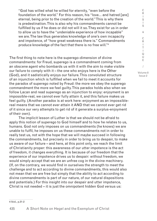"God has willed what he willed for eternity, "even before the foundation of the world." For this reason, his "love… and hatred [are] eternal, being prior to the creation of the world." This is why there is predestination. This is also why his commandments cannot be fulfilled by us if he does or did not will it so. They exist for us in order to allow us to have the "undeniable experience of how incapable" we are. The law thus generates knowledge of one's own incapacity and impotence, of "how great weakness there is." Commandments produce knowledge of the fact that there is no free will."4

The first thing to note here is the superego-dimension of divine commandments: for Freud, superego is a commandment coming from an obscene agent who bombards us with it with the aim to make visible our failure to comply with it – the one who enjoys here is the Other (God), and it sadistically enjoys our failure. This convoluted structure of an injunction which is fulfilled when we fail to meet it accounts for the paradox of superego noted by Freud: the more we obey the superego commandment the more we feel guilty. This paradox holds also when we follow Lacan and read superego as an injunction to enjoy: enjoyment is an impossible-real, we cannot ever fully attain it, and this failure makes us feel guilty. (Another paradox is at work here: enjoyment as an impossiblereal means that we cannot ever attain it AND that we cannot ever get rid of it since our very attempts to get rid of it generate a surplus-enjoyment of their own).

The implicit lesson of Luther is that we should not be afraid to apply this notion of superego to God himself and to how he relates to us, humans. God not only imposes on us commandments (he knows) we are unable to fulfil, he imposes on us these commandments not in order to really test us, not with the hope that we will maybe succeed in following the commandments, but precisely in order to bring us to despair, to make us aware of our failure – and here, at this point only, we reach the limit of Christianity proper: this awareness of our utter impotence is the act of freedom, it changes everything. It is because of our freedom that the experience of our impotence drives us to despair: without freedom, we would simply accept that we are an unfree cog in the divine machinery. (If, on the contrary, we would find in ourselves the strength to meet the challenge and to act according to divine commandments, this would also not mean that we are free but simply that the ability to act according to divine commandments is part of our nature, of our natural dispositions and potentials.) For this insight into our despair and utter impotence, Christ is not needed – it is just the omnipotent hidden God versus us:

4 Ibid., p.31-2

I T  $\mathbf{I}$ Q U E / Volume 8

Issue 2

C R  $\mathbf{I}$ S I S & C R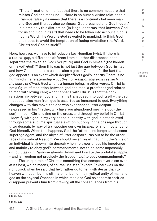"The affirmation of the fact that there is no common measure that relates God and mankind — there is no human-divine relationship. Erasmus falsely assumes that there is a continuity between man and God and thereby also confuses 'God preached and God hidden.' It is precisely this distinction (in Hegelian terms, that between God for us and God in itself) that needs to be taken into account. God is not his Word. The Word is God revealed to mankind. To think God, one needs to avoid the temptation of fusing revelation (the Word, Christ) and God as such"5

Here, however, we have to introduce a key Hegelian twist: if "there is a radical gap, a difference different from all other differences, that separates the revealed God (Scripture) and God in himself (the hidden or 'naked' God),"<sup>6</sup> then this gap is not just the gap between God-in-itself and how God appears to us, it is also a gap in God itself - the fact that god appears is an event which deeply affects god's identity. There is no human-divine relationship – but *this non-relationship exists as such, in the figure of Christ*, God who is a human being. In other words, Christ is not a figure of mediation between god and man, a proof that god relates to man with loving care; what happens with Christ is that the nonrelationship between god and man is transposed into god itself – the gap that separates man from god is asserted as immanent to god. Everything changes with this move: the one who experiences utter despair (expressed in his "Father, why have you abandoned me?") is god (the son) himself, Christ dying on the cross, and through my belief in Christ I identify with god in my very despair. Identity with god is not achieved through some sublime spiritual elevation but only in the passage through utter despair, by way of transposing our own incapacity and impotence to God himself. When this happens, God the father is no longer an obscene superego agent, and the abyss of utter despair turns out to be the other face of my radical freedom. We should never forget that, in Luther's vision, an individual is thrown into despair when he experiences his impotence and inability to obey god's commandments, not to do some impossibly difficult task (in Paradise already, Adam and Eve ate the prohibited apple) – and is freedom not precisely the freedom *not* to obey commandments?

The unique role of Christ is something that escapes mysticism even at its best, which means, of course, Meister Eckhart. Eckhart was on the right track when he said that he'd rather go to hell with Jesus than to heaven without – but his ultimate horizon of the mystical unity of man and god as the abyssal Oneness in which man and God as separate entities disappear prevents him from drawing all the consequences from his

5 Ibid., p.32

6 Ibid., p.33

R  $\mathbf{I}$ S I S & C R I T  $\mathbf{I}$ Q U E / Volume 8

Issue 2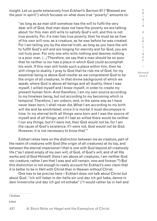insight. Let us quote extensively from Eckhart's Sermon 87 ("Blessed are the poor in spirit") which focuses on what does true "poverty" amounts to:

"as long as aa man still somehow has the will to fulfil the very dear will of God, that man does not have the poverty we are talking about for this man still wills to satisfy God's will, and this is not true poverty. For, if a man has true poverty, then he must be as free of his own will now, as a creature, as he was before he was created. For I am telling you by the eternal truth, as long as you have the will to fulfill God's will and are longing for eternity and for God, you are not truly poor. For only one who wills nothing and desires nothing is a poor man. /…/ Therefore, we say that a man should be so poor that he neither is nor has a place in which God could accomplish his work. If this man still holds such a place within him, then he still clings to duality. I pray to God that he rids me of God; for my essential being is above God insofar as we comprehend God to be the origin of all creatures. In that divine background of which we speak, where God is above all beings and all duality, there I was myself, I willed myself and I knew myself, in order to create my present human form. And therefore, I am my own source according to my timeless being, but not according to my becoming which is temporal. Therefore, I am unborn, and, in the same way as I have never been born, I shall never die. What I am according to my birth will die and be annihilated; since it is mortal it must decompose in time. In my eternal birth all things were born and I was the source of myself and of all things; and if I had so willed there would be neither I nor any things; but if I were not, then God would not be, for I am the cause of God's existence; if I were not, God would not be God. However, it is not necessary to know that."7

Eckhart relies here on the distinction between me as creature, part of the realm of creatures with God (the origin of all creatures) at its top, and between the eternal impersonal I that is one with God beyond all creaturely life ("as I stand empty of my own will, of God, of God's will, and of all His works and of God Himself, there I am above all creatures, I am neither God nor creature, rather I am that I was and will remain, now and forever."8 ) But this distinction is not enough to really account for Eckhart's own claim that it is better to be in Hell with Christ than in Heaven without Christ.

One has to be precise here – Eckhart does not talk about Christ but about God: "ich will lieber in der helle sin und daz ich got habe, denne in dem himelriche und daz ich got nit enhabe" ("I would rather be in hell and

7 Eckhart

8 Ibid.

437 A Short Note on Hegel and the Exemplum of Christ

I S I S & C R I T  $\mathbf{I}$ Q U E / Volume 8 Issue 2

C R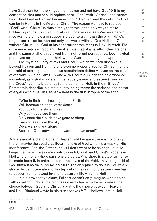have God than be in the kingdom of heaven and not have God.")<sup>9</sup> It is my contention that one should replace here "God" with "Christ": one cannot be without God in Heaven because God IS Heaven, and the only way God can be in Hell is in the figure of Christ. The reason we have to replace "God" with "Christ" is thus simply that this is the only way to make Eckhart's proposition meaningful in a Christian sense. (We have here a nice example of how a misquote is closer to truth than the original.) Or, to go even a step further: not only is a world without God Hell, but God without Christ (i.e., God in his separation from man) is Devil himself. The difference between God and Devil is thus that of a parallax: they are one and the same entity, just viewed from a different perspective. Devil is God perceived as a superego authority, as a Master enacting his caprices.

The mystical unity of my I and God in which we both dissolve is beyond Heaven and Hell, there is even no proper place for Christ in it, it is the void of eternity. Insofar as we nonetheless define Heaven as the bliss of eternity in which I am fully one with God, then Christ as an embodied individual, as a God who is simultaneously a mortal creature (dying on the Cross), definitely belongs to the domain of Hell. In their "Engel," Rammstein describe in simple but touching terms the sadness and horror of angels who dwell in Heaven – here is the first strophe of the song:

"Who in their lifetime is good on Earth Will become an angel after death You look to the sky and ask Why can't you see them Only once the clouds have gone to sleep Can you see us in the sky We are afraid and alone Because God knows I don't want to be an angel"

Angels are afraid and alone in Heaven, sad because there is no love up there – maybe the deadly-suffocating love of God which is a mask of His indifference. God-the-Father knows I don't want to be an angel, but He keeps me there. Love comes only through Christ, and Christ's place is in Hell where life is, where passions divide us. And there is a step further to be made here: if, in order to reach the abyss of the Void, I have to get rid of God himself as the supreme creature, the only place to do it is Hell where God is by definition absent. To step out of the realm of creatures one has to descent to the lowest level of creaturely life which is Hell.

In his provocative claim, Eckhart doesn't only imagine where to be with or without Christ, he proposes a real choice we have to make, the choice between God and Christ, and it is the choice between Heaven and Hell. Rimbaud wrote in his *A season in Hell*: "I believe I am in Hell,

9 Ibid.

 $\mathbf{I}$ S I S & C R I T  $\mathbf{I}$ Q U E / Volume 8 Issue 2

C R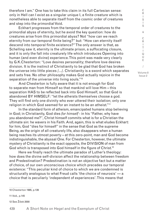therefore I am." One has to take this claim in its full Cartesian sense: only in Hell can I exist as a singular unique I, a finite creature which is nonetheless able to separate itself from the cosmic order of creatures and step into the primordial Void.

Eckhart progresses from the temporal order of creatures to the primordial abyss of eternity, but he avoid the key question: how do creatures arise from this primordial abyss? Not "how can we reach eternity from our temporal finite being?" but: "How can eternity itself descend into temporal finite existence?" The only answer is that, as Schelling saw it, eternity is the ultimate prison, a suffocating closure, and it is only the fall into creaturely life which introduces Opening into human (and even divine) experience. This point was made very clearly by G.K.Chesterton: "Love desires personality; therefore love desires division. It is the instinct of Christianity to be glad that God has broken the universe into little pieces /…/. Christianity is a sword which separates and sets free. No other philosophy makes God actually rejoice in the separation of the universe into living souls."<sup>10</sup>

And Chesterton is fully aware that it is not enough for God to separate man from Himself so that mankind will love Him – this separation HAS to be reflected back into God Himself, so that God is abandoned BY HIMSELF: "let the atheists themselves choose a god. They will find only one divinity who ever uttered their isolation; only one religion in which God seemed for an instant to be an atheist."11

In the standard form of atheism, emancipated humans stop believing in God; in Christianity, God dies *for himself* - in his "Father, why have you abandoned me?", Christ himself commits what is for a Christian the ultimate sin: he wavers in his Faith. And, again, this is what eludes Eckhart: for him, God "dies for himself" in the sense that God as the supreme Being, as the origin of all creaturely life, also disappears when a human being reaches its utmost poverty – at this zero-point, man and God become indistinguishable, the abyssal One. For Chesterton, however, the ultimate mystery of Christianity is the exact opposite, the DIVISION of man from God which is transposed into God himself in the figure of Christ.<sup>12</sup>

Here we finally reach the ultimate paradox of Luther's theology: how does the divine self-division affect the relationship between freedom and Predestination? Predestination is not an objective fact but a matter of choice, of our own unconscious choice which precedes our temporal existence: "This peculiar kind of choice to which we are condemned is structurally analogous to what Freud calls 'the choice of neurosis' — a choice that is peculiarly 'independent of experiences'. This means that

10 Chesterton 1995, p.139

11 Ibid., p.145

<sup>12</sup> See Žižek 2000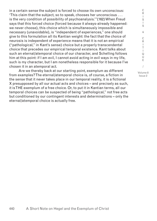in a certain sense the subject is forced to choose its own unconscious: 'This claim that the subject, so to speak, chooses her unconscious . . . is the very condition of possibility of psychoanalysis.'"(162) When Freud says that this forced choice (forced because it always-already happened: we never choose), this choice which is simultaneously impossible and necessary (unavoidable), is "independent of experiences," one should give to this formulation all its Kantian weight: the fact that the choice of neurosis is independent of experience means that it is not an empirical ("pathological," in Kant's sense) choice but a properly transcendental choice that precedes our empirical temporal existence. Kant talks about such an eternal/atemporal choice of our character, and Schelling follows him at this point: if I am evil, I cannot avoid acting in evil ways in my life, such is my character, but I am nonetheless responsible for it because I've chosen it in an atemporal act.

Are we thereby back at our starting point, exemplum as different from examples? The eternal/atemporal choice is, of course, a fiction in the sense that it never takes place in our temporal reality, it is a fictional X presupposed by all our actual acts and choices – and precisely as such, it is THE exemplum of a free choice. Or, to put it in Kantian terms, all our temporal choices can be suspected of being "pathological," not free acts but conditioned by our contingent interests and determinations – only the eternal/atemporal choice is actually free.

R  $\mathbf{I}$ S  $\overline{1}$ S & C R I T  $\mathbf{I}$ Q U E / Volume 8 Issue 2